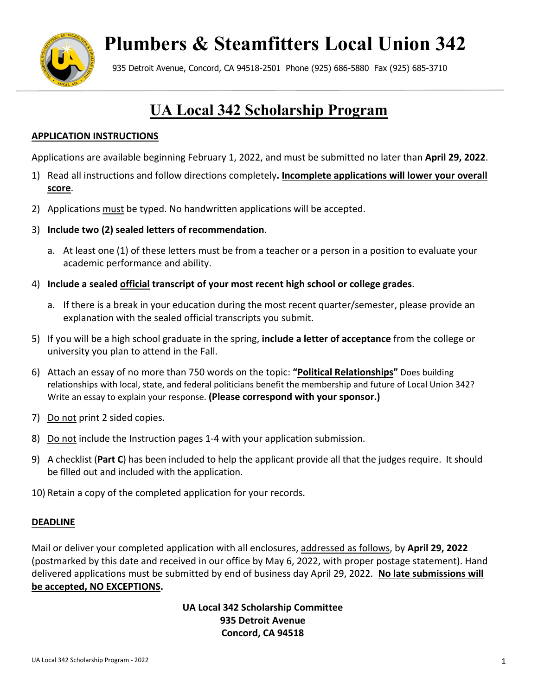

# **Plumbers & Steamfitters Local Union 342**

935 Detroit Avenue, Concord, CA 94518-2501 Phone (925) 686-5880 Fax (925) 685-3710

## **UA Local 342 Scholarship Program**

#### **APPLICATION INSTRUCTIONS**

Applications are available beginning February 1, 2022, and must be submitted no later than **April 29, 2022**.

- 1) Read all instructions and follow directions completely**. Incomplete applications will lower your overall score**.
- 2) Applications must be typed. No handwritten applications will be accepted.
- 3) **Include two (2) sealed letters of recommendation**.
	- a. At least one (1) of these letters must be from a teacher or a person in a position to evaluate your academic performance and ability.
- 4) **Include a sealed official transcript of your most recent high school or college grades**.
	- a. If there is a break in your education during the most recent quarter/semester, please provide an explanation with the sealed official transcripts you submit.
- 5) If you will be a high school graduate in the spring, **include a letter of acceptance** from the college or university you plan to attend in the Fall.
- 6) Attach an essay of no more than 750 words on the topic: **"Political Relationships"** Does building relationships with local, state, and federal politicians benefit the membership and future of Local Union 342? Write an essay to explain your response. **(Please correspond with your sponsor.)**
- 7) Do not print 2 sided copies.
- 8) Do not include the Instruction pages 1-4 with your application submission.
- 9) A checklist (**Part C**) has been included to help the applicant provide all that the judges require. It should be filled out and included with the application.
- 10) Retain a copy of the completed application for your records.

#### **DEADLINE**

Mail or deliver your completed application with all enclosures, addressed as follows, by **April 29, 2022** (postmarked by this date and received in our office by May 6, 2022, with proper postage statement). Hand delivered applications must be submitted by end of business day April 29, 2022. **No late submissions will be accepted, NO EXCEPTIONS.** 

> **UA Local 342 Scholarship Committee 935 Detroit Avenue Concord, CA 94518**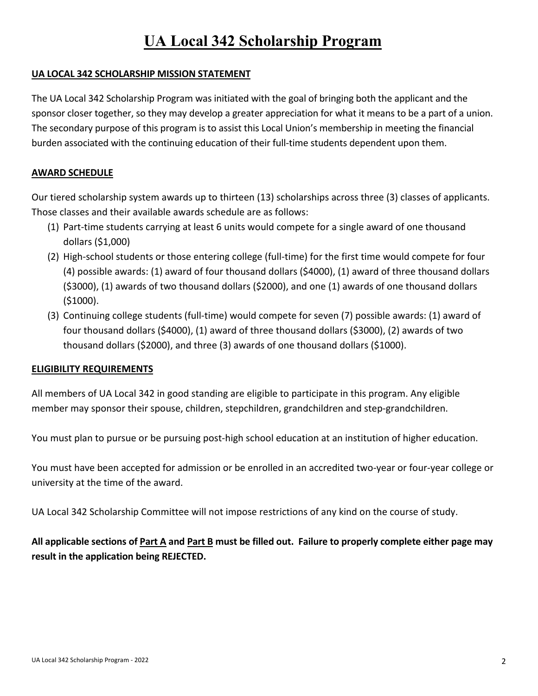### **UA Local 342 Scholarship Program**

#### **UA LOCAL 342 SCHOLARSHIP MISSION STATEMENT**

The UA Local 342 Scholarship Program was initiated with the goal of bringing both the applicant and the sponsor closer together, so they may develop a greater appreciation for what it means to be a part of a union. The secondary purpose of this program is to assist this Local Union's membership in meeting the financial burden associated with the continuing education of their full-time students dependent upon them.

#### **AWARD SCHEDULE**

Our tiered scholarship system awards up to thirteen (13) scholarships across three (3) classes of applicants. Those classes and their available awards schedule are as follows:

- (1) Part-time students carrying at least 6 units would compete for a single award of one thousand dollars (\$1,000)
- (2) High-school students or those entering college (full-time) for the first time would compete for four (4) possible awards: (1) award of four thousand dollars (\$4000), (1) award of three thousand dollars (\$3000), (1) awards of two thousand dollars (\$2000), and one (1) awards of one thousand dollars (\$1000).
- (3) Continuing college students (full-time) would compete for seven (7) possible awards: (1) award of four thousand dollars (\$4000), (1) award of three thousand dollars (\$3000), (2) awards of two thousand dollars (\$2000), and three (3) awards of one thousand dollars (\$1000).

#### **ELIGIBILITY REQUIREMENTS**

All members of UA Local 342 in good standing are eligible to participate in this program. Any eligible member may sponsor their spouse, children, stepchildren, grandchildren and step-grandchildren.

You must plan to pursue or be pursuing post-high school education at an institution of higher education.

You must have been accepted for admission or be enrolled in an accredited two-year or four-year college or university at the time of the award.

UA Local 342 Scholarship Committee will not impose restrictions of any kind on the course of study.

**All applicable sections of Part A and Part B must be filled out. Failure to properly complete either page may result in the application being REJECTED.**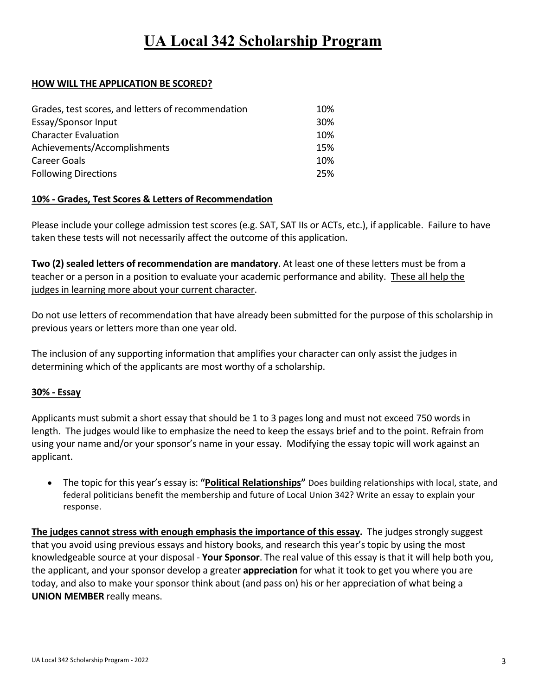### **UA Local 342 Scholarship Program**

#### **HOW WILL THE APPLICATION BE SCORED?**

| Grades, test scores, and letters of recommendation | 10% |
|----------------------------------------------------|-----|
| Essay/Sponsor Input                                | 30% |
| <b>Character Evaluation</b>                        | 10% |
| Achievements/Accomplishments                       | 15% |
| Career Goals                                       | 10% |
| <b>Following Directions</b>                        | 25% |

#### **10% - Grades, Test Scores & Letters of Recommendation**

Please include your college admission test scores (e.g. SAT, SAT IIs or ACTs, etc.), if applicable. Failure to have taken these tests will not necessarily affect the outcome of this application.

**Two (2) sealed letters of recommendation are mandatory**. At least one of these letters must be from a teacher or a person in a position to evaluate your academic performance and ability. These all help the judges in learning more about your current character.

Do not use letters of recommendation that have already been submitted for the purpose of this scholarship in previous years or letters more than one year old.

The inclusion of any supporting information that amplifies your character can only assist the judges in determining which of the applicants are most worthy of a scholarship.

#### **30% - Essay**

Applicants must submit a short essay that should be 1 to 3 pages long and must not exceed 750 words in length. The judges would like to emphasize the need to keep the essays brief and to the point. Refrain from using your name and/or your sponsor's name in your essay. Modifying the essay topic will work against an applicant.

• The topic for this year's essay is: **"Political Relationships"** Does building relationships with local, state, and federal politicians benefit the membership and future of Local Union 342? Write an essay to explain your response.

**The judges cannot stress with enough emphasis the importance of this essay.** The judges strongly suggest that you avoid using previous essays and history books, and research this year's topic by using the most knowledgeable source at your disposal - **Your Sponsor**. The real value of this essay is that it will help both you, the applicant, and your sponsor develop a greater **appreciation** for what it took to get you where you are today, and also to make your sponsor think about (and pass on) his or her appreciation of what being a **UNION MEMBER** really means.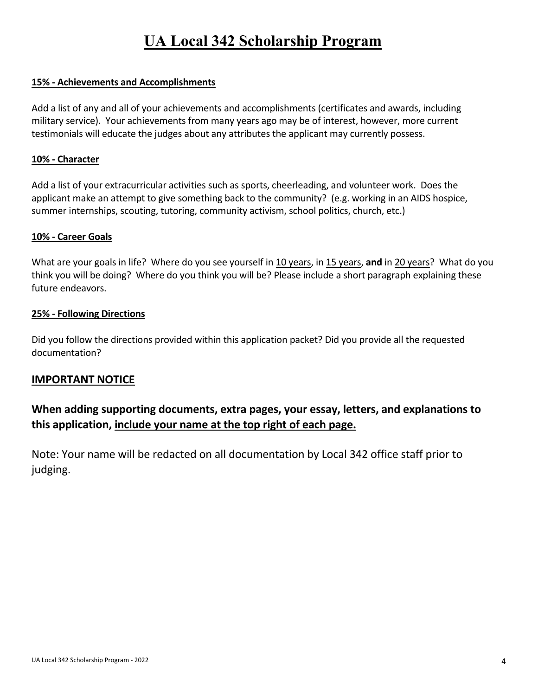#### **15% - Achievements and Accomplishments**

Add a list of any and all of your achievements and accomplishments (certificates and awards, including military service). Your achievements from many years ago may be of interest, however, more current testimonials will educate the judges about any attributes the applicant may currently possess.

#### **10% - Character**

Add a list of your extracurricular activities such as sports, cheerleading, and volunteer work. Does the applicant make an attempt to give something back to the community? (e.g. working in an AIDS hospice, summer internships, scouting, tutoring, community activism, school politics, church, etc.)

#### **10% - Career Goals**

What are your goals in life? Where do you see yourself in 10 years, in 15 years, and in 20 years? What do you think you will be doing? Where do you think you will be? Please include a short paragraph explaining these future endeavors.

#### **25% - Following Directions**

Did you follow the directions provided within this application packet? Did you provide all the requested documentation?

#### **IMPORTANT NOTICE**

### **When adding supporting documents, extra pages, your essay, letters, and explanations to this application, include your name at the top right of each page.**

Note: Your name will be redacted on all documentation by Local 342 office staff prior to judging.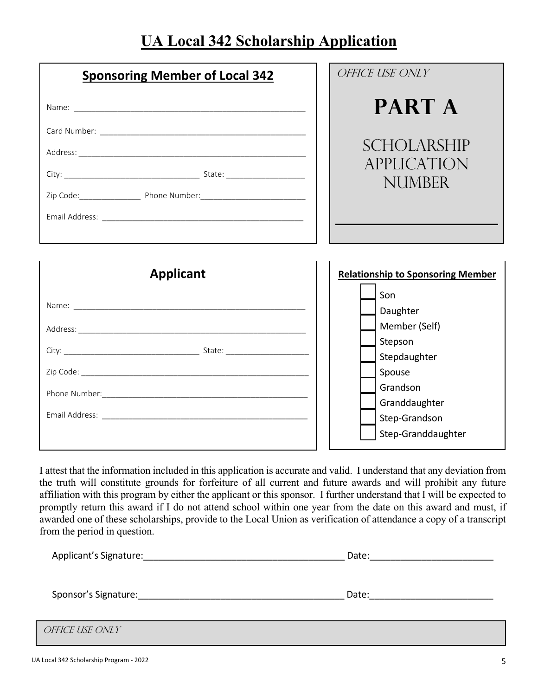### **UA Local 342 Scholarship Application**

| <b>Sponsoring Member of Local 342</b>                                                                                                                                                                                         | OFFICE USE ONLY                                                                                                                           |
|-------------------------------------------------------------------------------------------------------------------------------------------------------------------------------------------------------------------------------|-------------------------------------------------------------------------------------------------------------------------------------------|
|                                                                                                                                                                                                                               | <b>PART A</b>                                                                                                                             |
|                                                                                                                                                                                                                               | <b>SCHOLARSHIP</b><br><i><b>APPLICATION</b></i><br><b>NUMBER</b>                                                                          |
| <b>Applicant</b>                                                                                                                                                                                                              | <b>Relationship to Sponsoring Member</b>                                                                                                  |
| Name: Name and the second contract of the second contract of the second contract of the second contract of the second contract of the second contract of the second contract of the second contract of the second contract of | Son<br>Daughter<br>Member (Self)<br>Stepson<br>Stepdaughter<br>Spouse<br>Grandson<br>Granddaughter<br>Step-Grandson<br>Step-Granddaughter |

I attest that the information included in this application is accurate and valid. I understand that any deviation from the truth will constitute grounds for forfeiture of all current and future awards and will prohibit any future affiliation with this program by either the applicant or this sponsor. I further understand that I will be expected to promptly return this award if I do not attend school within one year from the date on this award and must, if awarded one of these scholarships, provide to the Local Union as verification of attendance a copy of a transcript from the period in question.

| Applicant's Signature: | Date: |
|------------------------|-------|
|                        |       |
| Sponsor's Signature:   | Date: |

f

| <i>OFFICE USE ONLY</i> |  |
|------------------------|--|
|                        |  |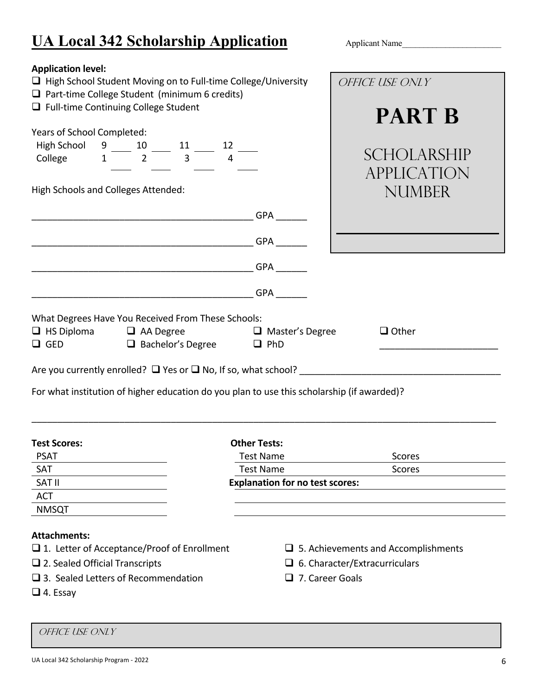### **UA Local 342 Scholarship Application** Applicant Name

**Application level:**  $\Box$  High School Student Moving on to Full-time College/University  $\Box$  Part-time College Student (minimum 6 credits)  $\Box$  Full-time Continuing College Student Years of School Completed: High School 9 10 11 1 2 College  $1 \overline{2} \overline{3} \overline{4}$ High Schools and Colleges Attended: \_\_\_\_\_\_\_\_\_\_\_\_\_\_\_\_\_\_\_\_\_\_\_\_\_\_\_\_\_\_\_\_\_\_\_\_\_\_\_\_\_\_\_ GPA \_\_\_\_\_\_  $\Box$  GPA  $\Box$  $GPA$  $GPA$ What Degrees Have You Received From These Schools:  $\Box$  HS Diploma  $\Box$  AA Degree  $\Box$  Master's Degree  $\Box$  Other  $\Box$  GED  $\Box$  Bachelor's Degree  $\Box$  PhD Are you currently enrolled? Yes or No, If so, what school? \_\_\_\_\_\_\_\_\_\_\_\_\_\_\_\_\_\_\_\_\_\_\_\_\_\_\_\_\_\_\_\_\_\_\_\_\_\_\_ For what institution of higher education do you plan to use this scholarship (if awarded)? \_\_\_\_\_\_\_\_\_\_\_\_\_\_\_\_\_\_\_\_\_\_\_\_\_\_\_\_\_\_\_\_\_\_\_\_\_\_\_\_\_\_\_\_\_\_\_\_\_\_\_\_\_\_\_\_\_\_\_\_\_\_\_\_\_\_\_\_\_\_\_\_\_\_\_\_\_\_\_\_\_\_\_\_\_\_\_\_\_\_ **Test Scores: Other Tests:** PSAT **Test Name** Scores and Scores Scores and Scores and Scores and Scores and Scores and Scores and Scores and Scores and Scores and Scores and Scores and Scores and Scores and Scores and Scores and Scores and Scores and SAT SAT SAT SERVICES SAT SERVICES SOME SCOPES SCOPES SCOPES SCOPES SCOPES SCOPES SCOPES SCOPES SCOPES SCOPES SCOPES SCOPES SCOPES SCOPES SCOPES SCOPES SCOPES SCOPES SCOPES SCOPES SCOPES SCOPES SCOPES SCOPES SCOPES SCOPES S SAT II **Explanation for no test scores:** ACT NMSQT Office Use Only **PART B SCHOLARSHIP** Application NUMBER

#### **Attachments:**

- $\Box$  1. Letter of Acceptance/Proof of Enrollment  $\Box$  5. Achievements and Accomplishments
- $\Box$  2. Sealed Official Transcripts  $\Box$  6. Character/Extracurriculars
- $\Box$  3. Sealed Letters of Recommendation  $\Box$  7. Career Goals
- $\Box$  4. Essay
- 
- 
- 

Ī

#### Office Use Only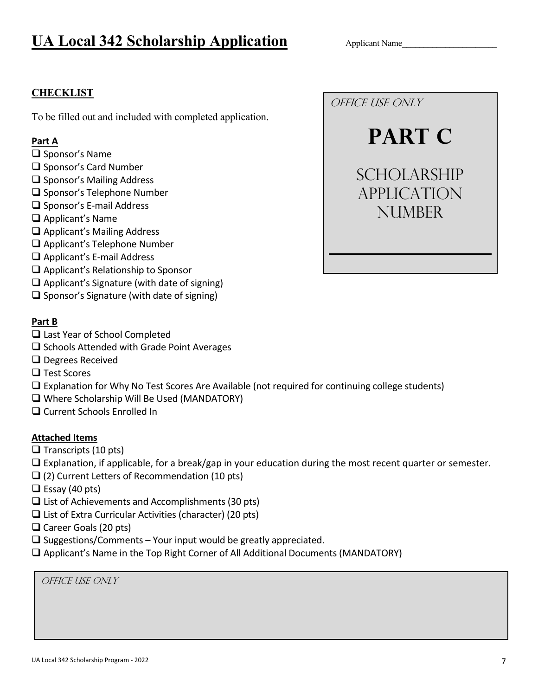### **UA Local 342 Scholarship Application** Applicant Name

#### **CHECKLIST**

To be filled out and included with completed application.

#### **Part A**

- $\square$  Sponsor's Name
- $\square$  Sponsor's Card Number
- $\square$  Sponsor's Mailing Address
- □ Sponsor's Telephone Number
- $\square$  Sponsor's E-mail Address
- Applicant's Name
- □ Applicant's Mailing Address
- □ Applicant's Telephone Number
- □ Applicant's E-mail Address
- $\Box$  Applicant's Relationship to Sponsor
- $\Box$  Applicant's Signature (with date of signing)
- $\square$  Sponsor's Signature (with date of signing)

#### **Part B**

- □ Last Year of School Completed
- $\square$  Schools Attended with Grade Point Averages
- □ Degrees Received
- □ Test Scores
- Explanation for Why No Test Scores Are Available (not required for continuing college students)
- Where Scholarship Will Be Used (MANDATORY)
- □ Current Schools Enrolled In

#### **Attached Items**

- $\Box$  Transcripts (10 pts)
- $\Box$  Explanation, if applicable, for a break/gap in your education during the most recent quarter or semester.
- $\Box$  (2) Current Letters of Recommendation (10 pts)
- $\Box$  Essay (40 pts)
- $\Box$  List of Achievements and Accomplishments (30 pts)
- $\Box$  List of Extra Curricular Activities (character) (20 pts)
- $\Box$  Career Goals (20 pts)
- $\square$  Suggestions/Comments Your input would be greatly appreciated.
- Applicant's Name in the Top Right Corner of All Additional Documents (MANDATORY)

Office Use Only

Office Use Only

**PART C** 

**SCHOLARSHIP** Application NUMBER